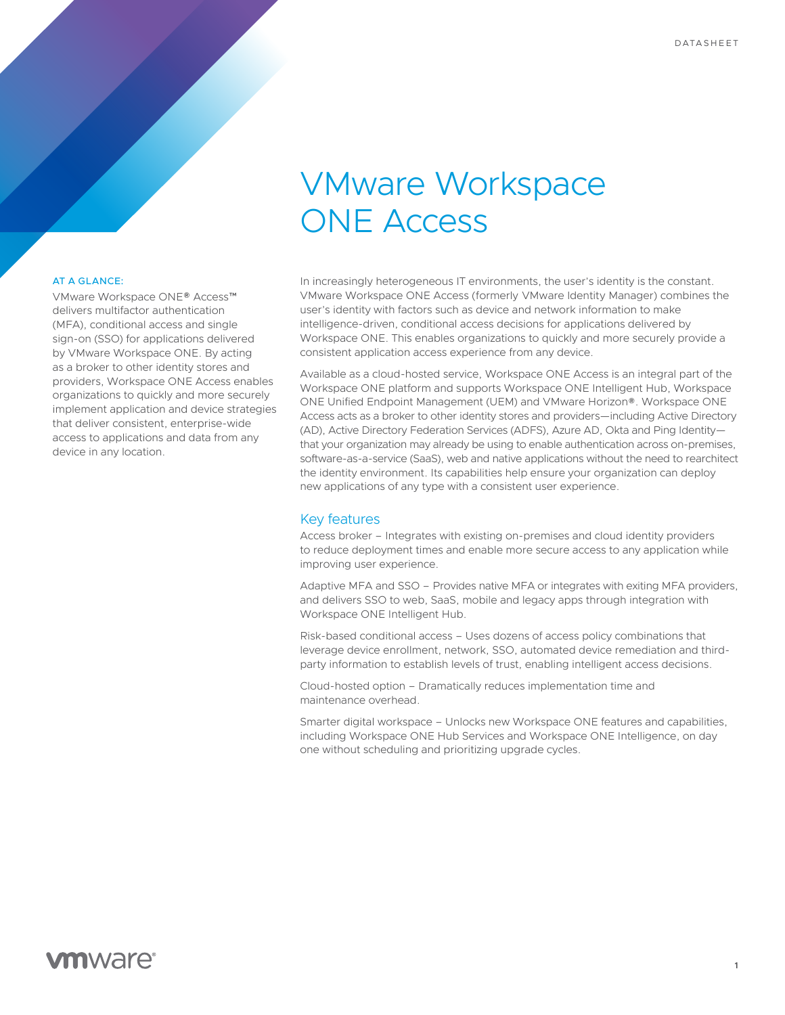# VMware Workspace ONE Access

#### AT A GLANCE:

VMware Workspace ONE® Access™ delivers multifactor authentication (MFA), conditional access and single sign-on (SSO) for applications delivered by VMware Workspace ONE. By acting as a broker to other identity stores and providers, Workspace ONE Access enables organizations to quickly and more securely implement application and device strategies that deliver consistent, enterprise-wide access to applications and data from any device in any location.

In increasingly heterogeneous IT environments, the user's identity is the constant. VMware Workspace ONE Access (formerly VMware Identity Manager) combines the user's identity with factors such as device and network information to make intelligence-driven, conditional access decisions for applications delivered by Workspace ONE. This enables organizations to quickly and more securely provide a consistent application access experience from any device.

Available as a cloud-hosted service, Workspace ONE Access is an integral part of the Workspace ONE platform and supports Workspace ONE Intelligent Hub, Workspace ONE Unified Endpoint Management (UEM) and VMware Horizon®. Workspace ONE Access acts as a broker to other identity stores and providers—including Active Directory (AD), Active Directory Federation Services (ADFS), Azure AD, Okta and Ping Identity that your organization may already be using to enable authentication across on-premises, software-as-a-service (SaaS), web and native applications without the need to rearchitect the identity environment. Its capabilities help ensure your organization can deploy new applications of any type with a consistent user experience.

### Key features

Access broker – Integrates with existing on-premises and cloud identity providers to reduce deployment times and enable more secure access to any application while improving user experience.

Adaptive MFA and SSO – Provides native MFA or integrates with exiting MFA providers, and delivers SSO to web, SaaS, mobile and legacy apps through integration with Workspace ONE Intelligent Hub.

Risk-based conditional access – Uses dozens of access policy combinations that leverage device enrollment, network, SSO, automated device remediation and thirdparty information to establish levels of trust, enabling intelligent access decisions.

Cloud-hosted option – Dramatically reduces implementation time and maintenance overhead.

Smarter digital workspace – Unlocks new Workspace ONE features and capabilities, including Workspace ONE Hub Services and Workspace ONE Intelligence, on day one without scheduling and prioritizing upgrade cycles.

# **vm**ware<sup>®</sup>

**1**